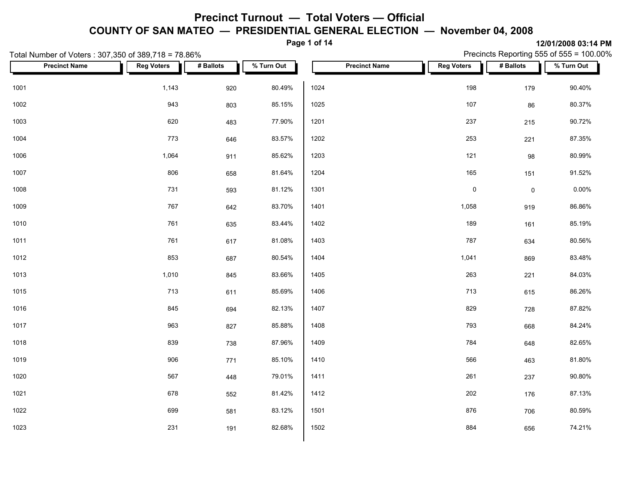**Page 1 of 14**

|      | Total Number of Voters: 307,350 of 389,718 = 78.86% |                   |           |            |      |                      | Precincts Reporting 555 of 555 = 100.00% |                     |            |  |
|------|-----------------------------------------------------|-------------------|-----------|------------|------|----------------------|------------------------------------------|---------------------|------------|--|
|      | <b>Precinct Name</b>                                | <b>Reg Voters</b> | # Ballots | % Turn Out |      | <b>Precinct Name</b> | <b>Reg Voters</b>                        | # Ballots           | % Turn Out |  |
| 1001 |                                                     | 1,143             | 920       | 80.49%     | 1024 |                      | 198                                      | 179                 | 90.40%     |  |
| 1002 |                                                     | 943               | 803       | 85.15%     | 1025 |                      | 107                                      | 86                  | 80.37%     |  |
| 1003 |                                                     | 620               | 483       | 77.90%     | 1201 |                      | 237                                      | 215                 | 90.72%     |  |
| 1004 |                                                     | 773               | 646       | 83.57%     | 1202 |                      | 253                                      | 221                 | 87.35%     |  |
| 1006 |                                                     | 1,064             | 911       | 85.62%     | 1203 |                      | 121                                      | 98                  | 80.99%     |  |
| 1007 |                                                     | 806               | 658       | 81.64%     | 1204 |                      | 165                                      | 151                 | 91.52%     |  |
| 1008 |                                                     | 731               | 593       | 81.12%     | 1301 |                      | $\pmb{0}$                                | $\mathsf{O}\xspace$ | $0.00\%$   |  |
| 1009 |                                                     | 767               | 642       | 83.70%     | 1401 |                      | 1,058                                    | 919                 | 86.86%     |  |
| 1010 |                                                     | 761               | 635       | 83.44%     | 1402 |                      | 189                                      | 161                 | 85.19%     |  |
| 1011 |                                                     | 761               | 617       | 81.08%     | 1403 |                      | 787                                      | 634                 | 80.56%     |  |
| 1012 |                                                     | 853               | 687       | 80.54%     | 1404 |                      | 1,041                                    | 869                 | 83.48%     |  |
| 1013 |                                                     | 1,010             | 845       | 83.66%     | 1405 |                      | 263                                      | 221                 | 84.03%     |  |
| 1015 |                                                     | 713               | 611       | 85.69%     | 1406 |                      | 713                                      | 615                 | 86.26%     |  |
| 1016 |                                                     | 845               | 694       | 82.13%     | 1407 |                      | 829                                      | 728                 | 87.82%     |  |
| 1017 |                                                     | 963               | 827       | 85.88%     | 1408 |                      | 793                                      | 668                 | 84.24%     |  |
| 1018 |                                                     | 839               | 738       | 87.96%     | 1409 |                      | 784                                      | 648                 | 82.65%     |  |
| 1019 |                                                     | 906               | 771       | 85.10%     | 1410 |                      | 566                                      | 463                 | 81.80%     |  |
| 1020 |                                                     | 567               | 448       | 79.01%     | 1411 |                      | 261                                      | 237                 | 90.80%     |  |
| 1021 |                                                     | 678               | 552       | 81.42%     | 1412 |                      | 202                                      | 176                 | 87.13%     |  |
| 1022 |                                                     | 699               | 581       | 83.12%     | 1501 |                      | 876                                      | 706                 | 80.59%     |  |
| 1023 |                                                     | 231               | 191       | 82.68%     | 1502 |                      | 884                                      | 656                 | 74.21%     |  |
|      |                                                     |                   |           |            |      |                      |                                          |                     |            |  |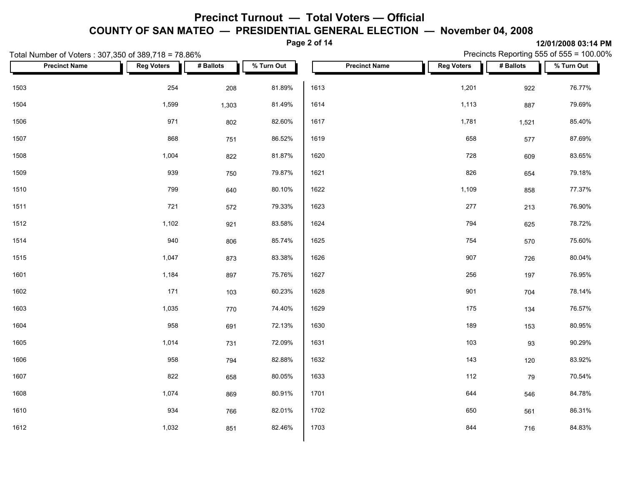**Page 2 of 14**

|      | Total Number of Voters: 307,350 of 389,718 = 78.86% |                   |           |            |      |                      | Precincts Reporting 555 of 555 = 100.00% |           |            |  |  |
|------|-----------------------------------------------------|-------------------|-----------|------------|------|----------------------|------------------------------------------|-----------|------------|--|--|
|      | <b>Precinct Name</b>                                | <b>Reg Voters</b> | # Ballots | % Turn Out |      | <b>Precinct Name</b> | <b>Reg Voters</b>                        | # Ballots | % Turn Out |  |  |
| 1503 |                                                     | 254               | 208       | 81.89%     | 1613 |                      | 1,201                                    | 922       | 76.77%     |  |  |
| 1504 |                                                     | 1,599             | 1,303     | 81.49%     | 1614 |                      | 1,113                                    | 887       | 79.69%     |  |  |
| 1506 |                                                     | 971               | 802       | 82.60%     | 1617 |                      | 1,781                                    | 1,521     | 85.40%     |  |  |
| 1507 |                                                     | 868               | 751       | 86.52%     | 1619 |                      | 658                                      | 577       | 87.69%     |  |  |
| 1508 |                                                     | 1,004             | 822       | 81.87%     | 1620 |                      | 728                                      | 609       | 83.65%     |  |  |
| 1509 |                                                     | 939               | 750       | 79.87%     | 1621 |                      | 826                                      | 654       | 79.18%     |  |  |
| 1510 |                                                     | 799               | 640       | 80.10%     | 1622 |                      | 1,109                                    | 858       | 77.37%     |  |  |
| 1511 |                                                     | 721               | 572       | 79.33%     | 1623 |                      | 277                                      | 213       | 76.90%     |  |  |
| 1512 |                                                     | 1,102             | 921       | 83.58%     | 1624 |                      | 794                                      | 625       | 78.72%     |  |  |
| 1514 |                                                     | 940               | 806       | 85.74%     | 1625 |                      | 754                                      | 570       | 75.60%     |  |  |
| 1515 |                                                     | 1,047             | 873       | 83.38%     | 1626 |                      | 907                                      | 726       | 80.04%     |  |  |
| 1601 |                                                     | 1,184             | 897       | 75.76%     | 1627 |                      | 256                                      | 197       | 76.95%     |  |  |
| 1602 |                                                     | 171               | 103       | 60.23%     | 1628 |                      | 901                                      | 704       | 78.14%     |  |  |
| 1603 |                                                     | 1,035             | 770       | 74.40%     | 1629 |                      | 175                                      | 134       | 76.57%     |  |  |
| 1604 |                                                     | 958               | 691       | 72.13%     | 1630 |                      | 189                                      | 153       | 80.95%     |  |  |
| 1605 |                                                     | 1,014             | 731       | 72.09%     | 1631 |                      | 103                                      | 93        | 90.29%     |  |  |
| 1606 |                                                     | 958               | 794       | 82.88%     | 1632 |                      | 143                                      | 120       | 83.92%     |  |  |
| 1607 |                                                     | 822               | 658       | 80.05%     | 1633 |                      | 112                                      | 79        | 70.54%     |  |  |
| 1608 |                                                     | 1,074             | 869       | 80.91%     | 1701 |                      | 644                                      | 546       | 84.78%     |  |  |
| 1610 |                                                     | 934               | 766       | 82.01%     | 1702 |                      | 650                                      | 561       | 86.31%     |  |  |
| 1612 |                                                     | 1,032             | 851       | 82.46%     | 1703 |                      | 844                                      | 716       | 84.83%     |  |  |
|      |                                                     |                   |           |            |      |                      |                                          |           |            |  |  |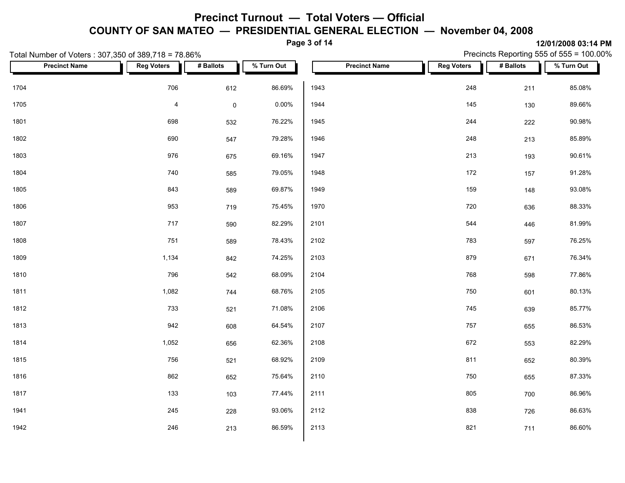**Page 3 of 14**

Precincts Reporting 555 of 555 = 100.00%

|      | Total Number of Voters: 307,350 of 389,718 = 78.86% |                   |             |            |      |                      |  | Precincts Reporting 555 of 555 = 100.00% |           |            |  |  |
|------|-----------------------------------------------------|-------------------|-------------|------------|------|----------------------|--|------------------------------------------|-----------|------------|--|--|
|      | <b>Precinct Name</b>                                | <b>Reg Voters</b> | # Ballots   | % Turn Out |      | <b>Precinct Name</b> |  | <b>Reg Voters</b>                        | # Ballots | % Turn Out |  |  |
| 1704 |                                                     | 706               | 612         | 86.69%     | 1943 |                      |  | 248                                      | 211       | 85.08%     |  |  |
| 1705 |                                                     | $\overline{4}$    | $\mathsf 0$ | 0.00%      | 1944 |                      |  | 145                                      | 130       | 89.66%     |  |  |
| 1801 |                                                     | 698               | 532         | 76.22%     | 1945 |                      |  | 244                                      | 222       | 90.98%     |  |  |
| 1802 |                                                     | 690               | 547         | 79.28%     | 1946 |                      |  | 248                                      | 213       | 85.89%     |  |  |
| 1803 |                                                     | 976               | 675         | 69.16%     | 1947 |                      |  | 213                                      | 193       | 90.61%     |  |  |
| 1804 |                                                     | 740               | 585         | 79.05%     | 1948 |                      |  | 172                                      | 157       | 91.28%     |  |  |
| 1805 |                                                     | 843               | 589         | 69.87%     | 1949 |                      |  | 159                                      | 148       | 93.08%     |  |  |
| 1806 |                                                     | 953               | 719         | 75.45%     | 1970 |                      |  | 720                                      | 636       | 88.33%     |  |  |
| 1807 |                                                     | 717               | 590         | 82.29%     | 2101 |                      |  | 544                                      | 446       | 81.99%     |  |  |
| 1808 |                                                     | 751               | 589         | 78.43%     | 2102 |                      |  | 783                                      | 597       | 76.25%     |  |  |
| 1809 |                                                     | 1,134             | 842         | 74.25%     | 2103 |                      |  | 879                                      | 671       | 76.34%     |  |  |
| 1810 |                                                     | 796               | 542         | 68.09%     | 2104 |                      |  | 768                                      | 598       | 77.86%     |  |  |
| 1811 |                                                     | 1,082             | 744         | 68.76%     | 2105 |                      |  | 750                                      | 601       | 80.13%     |  |  |
| 1812 |                                                     | 733               | 521         | 71.08%     | 2106 |                      |  | 745                                      | 639       | 85.77%     |  |  |
| 1813 |                                                     | 942               | 608         | 64.54%     | 2107 |                      |  | 757                                      | 655       | 86.53%     |  |  |
| 1814 |                                                     | 1,052             | 656         | 62.36%     | 2108 |                      |  | 672                                      | 553       | 82.29%     |  |  |
| 1815 |                                                     | 756               | 521         | 68.92%     | 2109 |                      |  | 811                                      | 652       | 80.39%     |  |  |
| 1816 |                                                     | 862               | 652         | 75.64%     | 2110 |                      |  | 750                                      | 655       | 87.33%     |  |  |
| 1817 |                                                     | 133               | 103         | 77.44%     | 2111 |                      |  | 805                                      | 700       | 86.96%     |  |  |
| 1941 |                                                     | 245               | 228         | 93.06%     | 2112 |                      |  | 838                                      | 726       | 86.63%     |  |  |
| 1942 |                                                     | 246               | 213         | 86.59%     | 2113 |                      |  | 821                                      | 711       | 86.60%     |  |  |
|      |                                                     |                   |             |            |      |                      |  |                                          |           |            |  |  |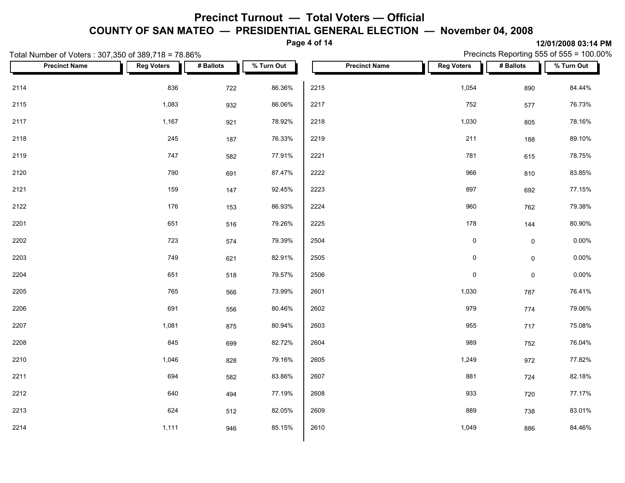**Page 4 of 14**

|      | Total Number of Voters: 307,350 of 389,718 = 78.86% |                   |           |            |      |                      |                   | Precincts Reporting 555 of 555 = 100.00% |            |  |  |
|------|-----------------------------------------------------|-------------------|-----------|------------|------|----------------------|-------------------|------------------------------------------|------------|--|--|
|      | <b>Precinct Name</b>                                | <b>Reg Voters</b> | # Ballots | % Turn Out |      | <b>Precinct Name</b> | <b>Reg Voters</b> | # Ballots                                | % Turn Out |  |  |
| 2114 |                                                     | 836               | 722       | 86.36%     | 2215 |                      | 1,054             | 890                                      | 84.44%     |  |  |
| 2115 |                                                     | 1,083             | 932       | 86.06%     | 2217 |                      | 752               | 577                                      | 76.73%     |  |  |
| 2117 |                                                     | 1,167             | 921       | 78.92%     | 2218 |                      | 1,030             | 805                                      | 78.16%     |  |  |
| 2118 |                                                     | 245               | 187       | 76.33%     | 2219 |                      | 211               | 188                                      | 89.10%     |  |  |
| 2119 |                                                     | 747               | 582       | 77.91%     | 2221 |                      | 781               | 615                                      | 78.75%     |  |  |
| 2120 |                                                     | 790               | 691       | 87.47%     | 2222 |                      | 966               | 810                                      | 83.85%     |  |  |
| 2121 |                                                     | 159               | 147       | 92.45%     | 2223 |                      | 897               | 692                                      | 77.15%     |  |  |
| 2122 |                                                     | 176               | 153       | 86.93%     | 2224 |                      | 960               | 762                                      | 79.38%     |  |  |
| 2201 |                                                     | 651               | 516       | 79.26%     | 2225 |                      | 178               | 144                                      | 80.90%     |  |  |
| 2202 |                                                     | 723               | 574       | 79.39%     | 2504 |                      | $\pmb{0}$         | $\mathsf{O}\xspace$                      | $0.00\%$   |  |  |
| 2203 |                                                     | 749               | 621       | 82.91%     | 2505 |                      | $\pmb{0}$         | $\mathsf{O}\xspace$                      | $0.00\%$   |  |  |
| 2204 |                                                     | 651               | 518       | 79.57%     | 2506 |                      | $\pmb{0}$         | $\mathsf{O}\xspace$                      | 0.00%      |  |  |
| 2205 |                                                     | 765               | 566       | 73.99%     | 2601 |                      | 1,030             | 787                                      | 76.41%     |  |  |
| 2206 |                                                     | 691               | 556       | 80.46%     | 2602 |                      | 979               | 774                                      | 79.06%     |  |  |
| 2207 |                                                     | 1,081             | 875       | 80.94%     | 2603 |                      | 955               | 717                                      | 75.08%     |  |  |
| 2208 |                                                     | 845               | 699       | 82.72%     | 2604 |                      | 989               | 752                                      | 76.04%     |  |  |
| 2210 |                                                     | 1,046             | 828       | 79.16%     | 2605 |                      | 1,249             | 972                                      | 77.82%     |  |  |
| 2211 |                                                     | 694               | 582       | 83.86%     | 2607 |                      | 881               | 724                                      | 82.18%     |  |  |
| 2212 |                                                     | 640               | 494       | 77.19%     | 2608 |                      | 933               | 720                                      | 77.17%     |  |  |
| 2213 |                                                     | 624               | 512       | 82.05%     | 2609 |                      | 889               | 738                                      | 83.01%     |  |  |
| 2214 |                                                     | 1,111             | 946       | 85.15%     | 2610 |                      | 1,049             | 886                                      | 84.46%     |  |  |
|      |                                                     |                   |           |            |      |                      |                   |                                          |            |  |  |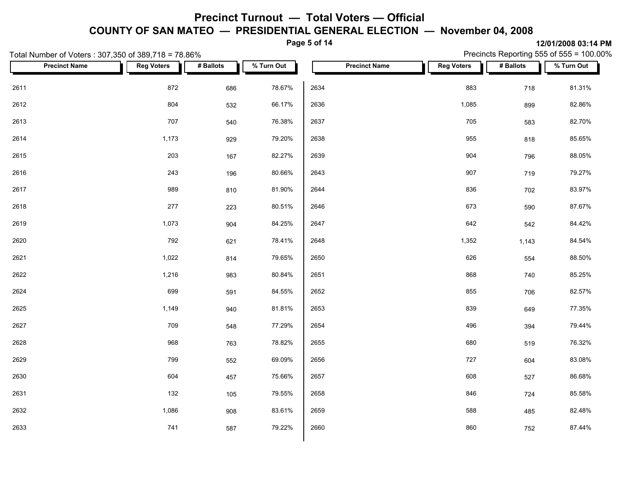**Page 5 of 14**

|      | Total Number of Voters: 307,350 of 389,718 = 78.86% |                   |           |            |      |                      | Precincts Reporting 555 of 555 = 100.00% |           |            |  |
|------|-----------------------------------------------------|-------------------|-----------|------------|------|----------------------|------------------------------------------|-----------|------------|--|
|      | <b>Precinct Name</b>                                | <b>Reg Voters</b> | # Ballots | % Turn Out |      | <b>Precinct Name</b> | <b>Reg Voters</b>                        | # Ballots | % Turn Out |  |
| 2611 |                                                     | 872               | 686       | 78.67%     | 2634 |                      | 883                                      | 718       | 81.31%     |  |
| 2612 |                                                     | 804               | 532       | 66.17%     | 2636 |                      | 1,085                                    | 899       | 82.86%     |  |
| 2613 |                                                     | 707               | 540       | 76.38%     | 2637 |                      | 705                                      | 583       | 82.70%     |  |
| 2614 |                                                     | 1,173             | 929       | 79.20%     | 2638 |                      | 955                                      | 818       | 85.65%     |  |
| 2615 |                                                     | 203               | 167       | 82.27%     | 2639 |                      | 904                                      | 796       | 88.05%     |  |
| 2616 |                                                     | 243               | 196       | 80.66%     | 2643 |                      | 907                                      | 719       | 79.27%     |  |
| 2617 |                                                     | 989               | 810       | 81.90%     | 2644 |                      | 836                                      | 702       | 83.97%     |  |
| 2618 |                                                     | 277               | 223       | 80.51%     | 2646 |                      | 673                                      | 590       | 87.67%     |  |
| 2619 |                                                     | 1,073             | 904       | 84.25%     | 2647 |                      | 642                                      | 542       | 84.42%     |  |
| 2620 |                                                     | 792               | 621       | 78.41%     | 2648 |                      | 1,352                                    | 1,143     | 84.54%     |  |
| 2621 |                                                     | 1,022             | 814       | 79.65%     | 2650 |                      | 626                                      | 554       | 88.50%     |  |
| 2622 |                                                     | 1,216             | 983       | 80.84%     | 2651 |                      | 868                                      | 740       | 85.25%     |  |
| 2624 |                                                     | 699               | 591       | 84.55%     | 2652 |                      | 855                                      | 706       | 82.57%     |  |
| 2625 |                                                     | 1,149             | 940       | 81.81%     | 2653 |                      | 839                                      | 649       | 77.35%     |  |
| 2627 |                                                     | 709               | 548       | 77.29%     | 2654 |                      | 496                                      | 394       | 79.44%     |  |
| 2628 |                                                     | 968               | 763       | 78.82%     | 2655 |                      | 680                                      | 519       | 76.32%     |  |
| 2629 |                                                     | 799               | 552       | 69.09%     | 2656 |                      | 727                                      | 604       | 83.08%     |  |
| 2630 |                                                     | 604               | 457       | 75.66%     | 2657 |                      | 608                                      | 527       | 86.68%     |  |
| 2631 |                                                     | 132               | 105       | 79.55%     | 2658 |                      | 846                                      | 724       | 85.58%     |  |
| 2632 |                                                     | 1,086             | 908       | 83.61%     | 2659 |                      | 588                                      | 485       | 82.48%     |  |
| 2633 |                                                     | 741               | 587       | 79.22%     | 2660 |                      | 860                                      | 752       | 87.44%     |  |
|      |                                                     |                   |           |            |      |                      |                                          |           |            |  |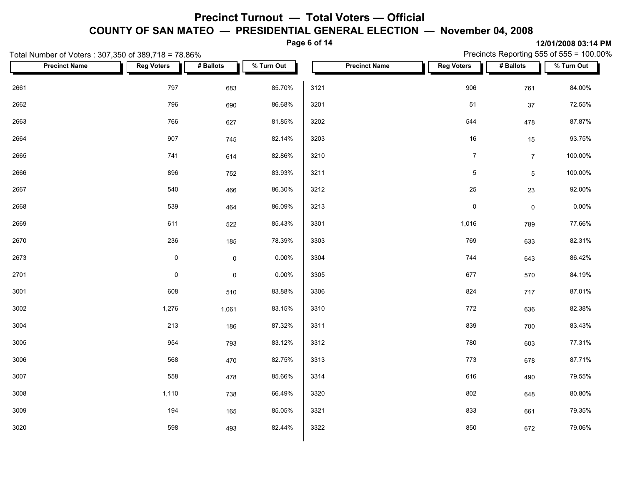**Page 6 of 14**

|      | Total Number of Voters: 307,350 of 389,718 = 78.86% |                   |                     |            |      |                      | Precincts Reporting 555 of 555 = 100.00% |                     |            |  |
|------|-----------------------------------------------------|-------------------|---------------------|------------|------|----------------------|------------------------------------------|---------------------|------------|--|
|      | <b>Precinct Name</b>                                | <b>Reg Voters</b> | # Ballots           | % Turn Out |      | <b>Precinct Name</b> | <b>Reg Voters</b>                        | # Ballots           | % Turn Out |  |
| 2661 |                                                     | 797               | 683                 | 85.70%     | 3121 |                      | 906                                      | 761                 | 84.00%     |  |
| 2662 |                                                     | 796               | 690                 | 86.68%     | 3201 |                      | 51                                       | 37                  | 72.55%     |  |
| 2663 |                                                     | 766               | 627                 | 81.85%     | 3202 |                      | 544                                      | 478                 | 87.87%     |  |
| 2664 |                                                     | 907               | 745                 | 82.14%     | 3203 |                      | 16                                       | 15                  | 93.75%     |  |
| 2665 |                                                     | 741               | 614                 | 82.86%     | 3210 |                      | $\boldsymbol{7}$                         | $\overline{7}$      | 100.00%    |  |
| 2666 |                                                     | 896               | 752                 | 83.93%     | 3211 |                      | $\mathbf 5$                              | $5\overline{)}$     | 100.00%    |  |
| 2667 |                                                     | 540               | 466                 | 86.30%     | 3212 |                      | 25                                       | 23                  | 92.00%     |  |
| 2668 |                                                     | 539               | 464                 | 86.09%     | 3213 |                      | $\pmb{0}$                                | $\mathsf{O}\xspace$ | 0.00%      |  |
| 2669 |                                                     | 611               | 522                 | 85.43%     | 3301 |                      | 1,016                                    | 789                 | 77.66%     |  |
| 2670 |                                                     | 236               | 185                 | 78.39%     | 3303 |                      | 769                                      | 633                 | 82.31%     |  |
| 2673 |                                                     | $\pmb{0}$         | $\mathsf{O}\xspace$ | 0.00%      | 3304 |                      | 744                                      | 643                 | 86.42%     |  |
| 2701 |                                                     | $\mathsf{O}$      | $\mathsf{O}\xspace$ | 0.00%      | 3305 |                      | 677                                      | 570                 | 84.19%     |  |
| 3001 |                                                     | 608               | 510                 | 83.88%     | 3306 |                      | 824                                      | 717                 | 87.01%     |  |
| 3002 |                                                     | 1,276             | 1,061               | 83.15%     | 3310 |                      | 772                                      | 636                 | 82.38%     |  |
| 3004 |                                                     | 213               | 186                 | 87.32%     | 3311 |                      | 839                                      | 700                 | 83.43%     |  |
| 3005 |                                                     | 954               | 793                 | 83.12%     | 3312 |                      | 780                                      | 603                 | 77.31%     |  |
| 3006 |                                                     | 568               | 470                 | 82.75%     | 3313 |                      | 773                                      | 678                 | 87.71%     |  |
| 3007 |                                                     | 558               | 478                 | 85.66%     | 3314 |                      | 616                                      | 490                 | 79.55%     |  |
| 3008 |                                                     | 1,110             | 738                 | 66.49%     | 3320 |                      | 802                                      | 648                 | 80.80%     |  |
| 3009 |                                                     | 194               | 165                 | 85.05%     | 3321 |                      | 833                                      | 661                 | 79.35%     |  |
| 3020 |                                                     | 598               | 493                 | 82.44%     | 3322 |                      | 850                                      | 672                 | 79.06%     |  |
|      |                                                     |                   |                     |            |      |                      |                                          |                     |            |  |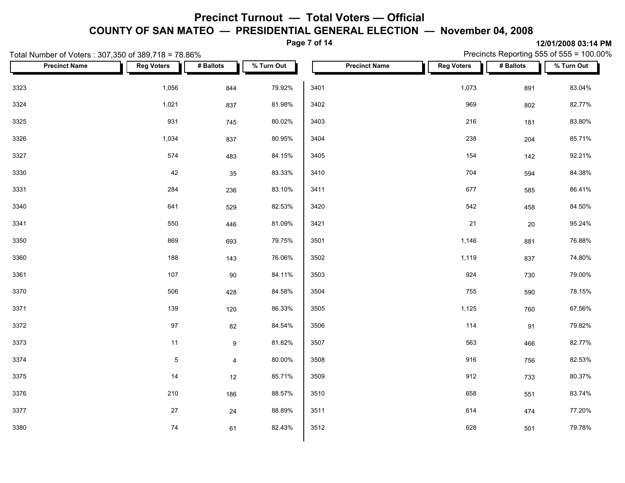**Page 7 of 14**

|      | Total Number of Voters: 307,350 of 389,718 = 78.86% |                   |                |            |      |                      | Precincts Reporting 555 of 555 = 100.00% |           |            |
|------|-----------------------------------------------------|-------------------|----------------|------------|------|----------------------|------------------------------------------|-----------|------------|
|      | <b>Precinct Name</b>                                | <b>Reg Voters</b> | # Ballots      | % Turn Out |      | <b>Precinct Name</b> | <b>Reg Voters</b>                        | # Ballots | % Turn Out |
| 3323 |                                                     | 1,056             | 844            | 79.92%     | 3401 |                      | 1,073                                    | 891       | 83.04%     |
| 3324 |                                                     | 1,021             | 837            | 81.98%     | 3402 |                      | 969                                      | 802       | 82.77%     |
| 3325 |                                                     | 931               | 745            | 80.02%     | 3403 |                      | 216                                      | 181       | 83.80%     |
| 3326 |                                                     | 1,034             | 837            | 80.95%     | 3404 |                      | 238                                      | 204       | 85.71%     |
| 3327 |                                                     | 574               | 483            | 84.15%     | 3405 |                      | 154                                      | 142       | 92.21%     |
| 3330 |                                                     | 42                | 35             | 83.33%     | 3410 |                      | 704                                      | 594       | 84.38%     |
| 3331 |                                                     | 284               | 236            | 83.10%     | 3411 |                      | 677                                      | 585       | 86.41%     |
| 3340 |                                                     | 641               | 529            | 82.53%     | 3420 |                      | 542                                      | 458       | 84.50%     |
| 3341 |                                                     | 550               | 446            | 81.09%     | 3421 |                      | 21                                       | 20        | 95.24%     |
| 3350 |                                                     | 869               | 693            | 79.75%     | 3501 |                      | 1,146                                    | 881       | 76.88%     |
| 3360 |                                                     | 188               | 143            | 76.06%     | 3502 |                      | 1,119                                    | 837       | 74.80%     |
| 3361 |                                                     | 107               | 90             | 84.11%     | 3503 |                      | 924                                      | 730       | 79.00%     |
| 3370 |                                                     | 506               | 428            | 84.58%     | 3504 |                      | 755                                      | 590       | 78.15%     |
| 3371 |                                                     | 139               | 120            | 86.33%     | 3505 |                      | 1,125                                    | 760       | 67.56%     |
| 3372 |                                                     | 97                | 82             | 84.54%     | 3506 |                      | 114                                      | 91        | 79.82%     |
| 3373 |                                                     | 11                | $9\,$          | 81.82%     | 3507 |                      | 563                                      | 466       | 82.77%     |
| 3374 |                                                     | $\overline{5}$    | $\overline{4}$ | 80.00%     | 3508 |                      | 916                                      | 756       | 82.53%     |
| 3375 |                                                     | 14                | 12             | 85.71%     | 3509 |                      | 912                                      | 733       | 80.37%     |
| 3376 |                                                     | 210               | 186            | 88.57%     | 3510 |                      | 658                                      | 551       | 83.74%     |
| 3377 |                                                     | $27\,$            | 24             | 88.89%     | 3511 |                      | 614                                      | 474       | 77.20%     |
| 3380 |                                                     | 74                | 61             | 82.43%     | 3512 |                      | 628                                      | 501       | 79.78%     |
|      |                                                     |                   |                |            |      |                      |                                          |           |            |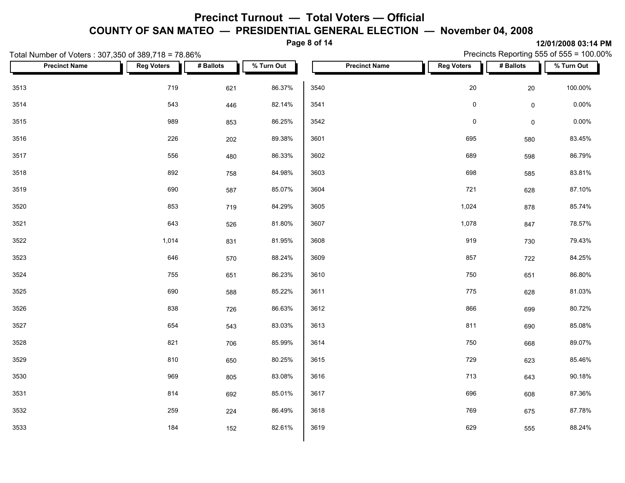**Page 8 of 14**

| Total Number of Voters: 307,350 of 389,718 = 78.86% |                   |           |            | Precincts Reporting 555 of 555 = 100.00% |                   |                     |            |  |  |  |
|-----------------------------------------------------|-------------------|-----------|------------|------------------------------------------|-------------------|---------------------|------------|--|--|--|
| <b>Precinct Name</b>                                | <b>Reg Voters</b> | # Ballots | % Turn Out | <b>Precinct Name</b>                     | <b>Reg Voters</b> | # Ballots           | % Turn Out |  |  |  |
| 3513                                                | 719               | 621       | 86.37%     | 3540                                     | 20                | 20                  | 100.00%    |  |  |  |
| 3514                                                | 543               | 446       | 82.14%     | 3541                                     | $\pmb{0}$         | $\mathsf{O}\xspace$ | $0.00\%$   |  |  |  |
| 3515                                                | 989               | 853       | 86.25%     | 3542                                     | $\pmb{0}$         | $\mathbf 0$         | 0.00%      |  |  |  |
| 3516                                                | 226               | 202       | 89.38%     | 3601                                     | 695               | 580                 | 83.45%     |  |  |  |
| 3517                                                | 556               | 480       | 86.33%     | 3602                                     | 689               | 598                 | 86.79%     |  |  |  |
| 3518                                                | 892               | 758       | 84.98%     | 3603                                     | 698               | 585                 | 83.81%     |  |  |  |
| 3519                                                | 690               | 587       | 85.07%     | 3604                                     | 721               | 628                 | 87.10%     |  |  |  |
| 3520                                                | 853               | 719       | 84.29%     | 3605                                     | 1,024             | 878                 | 85.74%     |  |  |  |
| 3521                                                | 643               | 526       | 81.80%     | 3607                                     | 1,078             | 847                 | 78.57%     |  |  |  |
| 3522                                                | 1,014             | 831       | 81.95%     | 3608                                     | 919               | 730                 | 79.43%     |  |  |  |
| 3523                                                | 646               | 570       | 88.24%     | 3609                                     | 857               | 722                 | 84.25%     |  |  |  |
| 3524                                                | 755               | 651       | 86.23%     | 3610                                     | 750               | 651                 | 86.80%     |  |  |  |
| 3525                                                | 690               | 588       | 85.22%     | 3611                                     | 775               | 628                 | 81.03%     |  |  |  |
| 3526                                                | 838               | 726       | 86.63%     | 3612                                     | 866               | 699                 | 80.72%     |  |  |  |
| 3527                                                | 654               | 543       | 83.03%     | 3613                                     | 811               | 690                 | 85.08%     |  |  |  |
| 3528                                                | 821               | 706       | 85.99%     | 3614                                     | 750               | 668                 | 89.07%     |  |  |  |
| 3529                                                | 810               | 650       | 80.25%     | 3615                                     | 729               | 623                 | 85.46%     |  |  |  |
| 3530                                                | 969               | 805       | 83.08%     | 3616                                     | 713               | 643                 | 90.18%     |  |  |  |
| 3531                                                | 814               | 692       | 85.01%     | 3617                                     | 696               | 608                 | 87.36%     |  |  |  |
| 3532                                                | 259               | 224       | 86.49%     | 3618                                     | 769               | 675                 | 87.78%     |  |  |  |
| 3533                                                | 184               | 152       | 82.61%     | 3619                                     | 629               | 555                 | 88.24%     |  |  |  |
|                                                     |                   |           |            |                                          |                   |                     |            |  |  |  |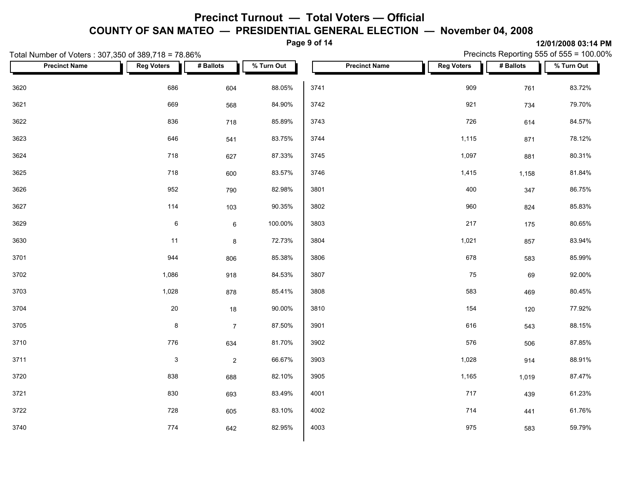**Page 9 of 14**

|      | Total Number of Voters: 307,350 of 389,718 = 78.86% |                   |                |            |      | Precincts Reporting 555 of 555 = 100.00% |                   |           |            |  |
|------|-----------------------------------------------------|-------------------|----------------|------------|------|------------------------------------------|-------------------|-----------|------------|--|
|      | <b>Precinct Name</b>                                | <b>Reg Voters</b> | # Ballots      | % Turn Out |      | <b>Precinct Name</b>                     | <b>Reg Voters</b> | # Ballots | % Turn Out |  |
| 3620 |                                                     | 686               | 604            | 88.05%     | 3741 |                                          | 909               | 761       | 83.72%     |  |
| 3621 |                                                     | 669               | 568            | 84.90%     | 3742 |                                          | 921               | 734       | 79.70%     |  |
| 3622 |                                                     | 836               | 718            | 85.89%     | 3743 |                                          | 726               | 614       | 84.57%     |  |
| 3623 |                                                     | 646               | 541            | 83.75%     | 3744 |                                          | 1,115             | 871       | 78.12%     |  |
| 3624 |                                                     | 718               | 627            | 87.33%     | 3745 |                                          | 1,097             | 881       | 80.31%     |  |
| 3625 |                                                     | 718               | 600            | 83.57%     | 3746 |                                          | 1,415             | 1,158     | 81.84%     |  |
| 3626 |                                                     | 952               | 790            | 82.98%     | 3801 |                                          | 400               | 347       | 86.75%     |  |
| 3627 |                                                     | 114               | 103            | 90.35%     | 3802 |                                          | 960               | 824       | 85.83%     |  |
| 3629 |                                                     | $\,6\,$           | $\,6\,$        | 100.00%    | 3803 |                                          | 217               | 175       | 80.65%     |  |
| 3630 |                                                     | 11                | 8              | 72.73%     | 3804 |                                          | 1,021             | 857       | 83.94%     |  |
| 3701 |                                                     | 944               | 806            | 85.38%     | 3806 |                                          | 678               | 583       | 85.99%     |  |
| 3702 |                                                     | 1,086             | 918            | 84.53%     | 3807 |                                          | 75                | 69        | 92.00%     |  |
| 3703 |                                                     | 1,028             | 878            | 85.41%     | 3808 |                                          | 583               | 469       | 80.45%     |  |
| 3704 |                                                     | $20\,$            | 18             | 90.00%     | 3810 |                                          | 154               | 120       | 77.92%     |  |
| 3705 |                                                     | $\bf 8$           | $\overline{7}$ | 87.50%     | 3901 |                                          | 616               | 543       | 88.15%     |  |
| 3710 |                                                     | 776               | 634            | 81.70%     | 3902 |                                          | 576               | 506       | 87.85%     |  |
| 3711 |                                                     | $\mathbf{3}$      | $\overline{2}$ | 66.67%     | 3903 |                                          | 1,028             | 914       | 88.91%     |  |
| 3720 |                                                     | 838               | 688            | 82.10%     | 3905 |                                          | 1,165             | 1,019     | 87.47%     |  |
| 3721 |                                                     | 830               | 693            | 83.49%     | 4001 |                                          | 717               | 439       | 61.23%     |  |
| 3722 |                                                     | 728               | 605            | 83.10%     | 4002 |                                          | 714               | 441       | 61.76%     |  |
| 3740 |                                                     | 774               | 642            | 82.95%     | 4003 |                                          | 975               | 583       | 59.79%     |  |
|      |                                                     |                   |                |            |      |                                          |                   |           |            |  |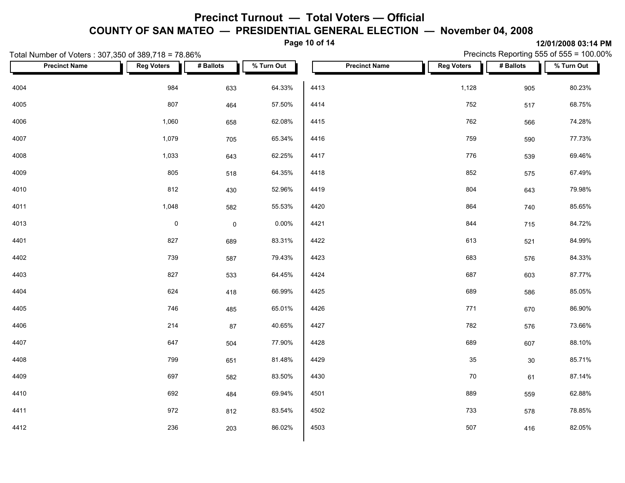**Page 10 of 14**

|      | Total Number of Voters: 307,350 of 389,718 = 78.86% |                   |             |            |      |                      |  | Precincts Reporting 555 of 555 = 100.00% |           |            |  |
|------|-----------------------------------------------------|-------------------|-------------|------------|------|----------------------|--|------------------------------------------|-----------|------------|--|
|      | <b>Precinct Name</b>                                | <b>Reg Voters</b> | # Ballots   | % Turn Out |      | <b>Precinct Name</b> |  | <b>Reg Voters</b>                        | # Ballots | % Turn Out |  |
| 4004 |                                                     | 984               | 633         | 64.33%     | 4413 |                      |  | 1,128                                    | 905       | 80.23%     |  |
| 4005 |                                                     | 807               | 464         | 57.50%     | 4414 |                      |  | 752                                      | 517       | 68.75%     |  |
| 4006 |                                                     | 1,060             | 658         | 62.08%     | 4415 |                      |  | 762                                      | 566       | 74.28%     |  |
| 4007 |                                                     | 1,079             | 705         | 65.34%     | 4416 |                      |  | 759                                      | 590       | 77.73%     |  |
| 4008 |                                                     | 1,033             | 643         | 62.25%     | 4417 |                      |  | 776                                      | 539       | 69.46%     |  |
| 4009 |                                                     | 805               | 518         | 64.35%     | 4418 |                      |  | 852                                      | 575       | 67.49%     |  |
| 4010 |                                                     | 812               | 430         | 52.96%     | 4419 |                      |  | 804                                      | 643       | 79.98%     |  |
| 4011 |                                                     | 1,048             | 582         | 55.53%     | 4420 |                      |  | 864                                      | 740       | 85.65%     |  |
| 4013 |                                                     | $\pmb{0}$         | $\mathbf 0$ | 0.00%      | 4421 |                      |  | 844                                      | 715       | 84.72%     |  |
| 4401 |                                                     | 827               | 689         | 83.31%     | 4422 |                      |  | 613                                      | 521       | 84.99%     |  |
| 4402 |                                                     | 739               | 587         | 79.43%     | 4423 |                      |  | 683                                      | 576       | 84.33%     |  |
| 4403 |                                                     | 827               | 533         | 64.45%     | 4424 |                      |  | 687                                      | 603       | 87.77%     |  |
| 4404 |                                                     | 624               | 418         | 66.99%     | 4425 |                      |  | 689                                      | 586       | 85.05%     |  |
| 4405 |                                                     | 746               | 485         | 65.01%     | 4426 |                      |  | 771                                      | 670       | 86.90%     |  |
| 4406 |                                                     | 214               | 87          | 40.65%     | 4427 |                      |  | 782                                      | 576       | 73.66%     |  |
| 4407 |                                                     | 647               | 504         | 77.90%     | 4428 |                      |  | 689                                      | 607       | 88.10%     |  |
| 4408 |                                                     | 799               | 651         | 81.48%     | 4429 |                      |  | 35                                       | 30        | 85.71%     |  |
| 4409 |                                                     | 697               | 582         | 83.50%     | 4430 |                      |  | 70                                       | 61        | 87.14%     |  |
| 4410 |                                                     | 692               | 484         | 69.94%     | 4501 |                      |  | 889                                      | 559       | 62.88%     |  |
| 4411 |                                                     | 972               | 812         | 83.54%     | 4502 |                      |  | 733                                      | 578       | 78.85%     |  |
| 4412 |                                                     | 236               | 203         | 86.02%     | 4503 |                      |  | 507                                      | 416       | 82.05%     |  |
|      |                                                     |                   |             |            |      |                      |  |                                          |           |            |  |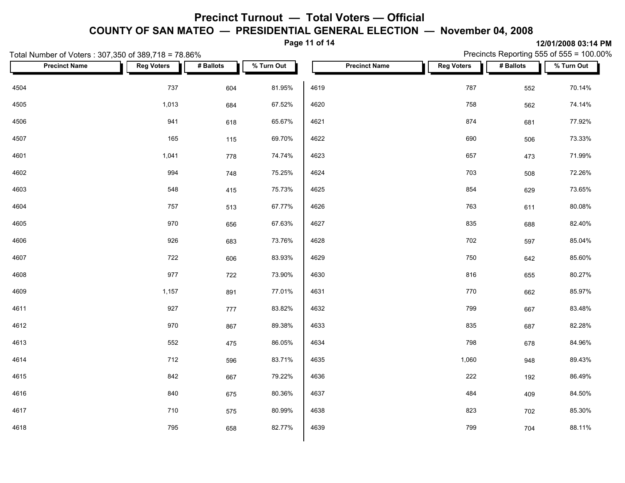**Page 11 of 14**

Precincts Reporting 555 of 555 = 100.00%

|      | Total Number of Voters: 307,350 of 389,718 = 78.86% |                   |           |            |      |                      | Precincts Reporting 555 of 555 = 100.00% |           |            |  |  |
|------|-----------------------------------------------------|-------------------|-----------|------------|------|----------------------|------------------------------------------|-----------|------------|--|--|
|      | <b>Precinct Name</b>                                | <b>Reg Voters</b> | # Ballots | % Turn Out |      | <b>Precinct Name</b> | <b>Reg Voters</b>                        | # Ballots | % Turn Out |  |  |
| 4504 |                                                     | 737               | 604       | 81.95%     | 4619 |                      | 787                                      | 552       | 70.14%     |  |  |
| 4505 |                                                     | 1,013             | 684       | 67.52%     | 4620 |                      | 758                                      | 562       | 74.14%     |  |  |
| 4506 |                                                     | 941               | 618       | 65.67%     | 4621 |                      | 874                                      | 681       | 77.92%     |  |  |
| 4507 |                                                     | 165               | 115       | 69.70%     | 4622 |                      | 690                                      | 506       | 73.33%     |  |  |
| 4601 |                                                     | 1,041             | 778       | 74.74%     | 4623 |                      | 657                                      | 473       | 71.99%     |  |  |
| 4602 |                                                     | 994               | 748       | 75.25%     | 4624 |                      | 703                                      | 508       | 72.26%     |  |  |
| 4603 |                                                     | 548               | 415       | 75.73%     | 4625 |                      | 854                                      | 629       | 73.65%     |  |  |
| 4604 |                                                     | 757               | 513       | 67.77%     | 4626 |                      | 763                                      | 611       | 80.08%     |  |  |
| 4605 |                                                     | 970               | 656       | 67.63%     | 4627 |                      | 835                                      | 688       | 82.40%     |  |  |
| 4606 |                                                     | 926               | 683       | 73.76%     | 4628 |                      | 702                                      | 597       | 85.04%     |  |  |
| 4607 |                                                     | 722               | 606       | 83.93%     | 4629 |                      | 750                                      | 642       | 85.60%     |  |  |
| 4608 |                                                     | 977               | 722       | 73.90%     | 4630 |                      | 816                                      | 655       | 80.27%     |  |  |
| 4609 |                                                     | 1,157             | 891       | 77.01%     | 4631 |                      | 770                                      | 662       | 85.97%     |  |  |
| 4611 |                                                     | 927               | 777       | 83.82%     | 4632 |                      | 799                                      | 667       | 83.48%     |  |  |
| 4612 |                                                     | 970               | 867       | 89.38%     | 4633 |                      | 835                                      | 687       | 82.28%     |  |  |
| 4613 |                                                     | 552               | 475       | 86.05%     | 4634 |                      | 798                                      | 678       | 84.96%     |  |  |
| 4614 |                                                     | 712               | 596       | 83.71%     | 4635 |                      | 1,060                                    | 948       | 89.43%     |  |  |
| 4615 |                                                     | 842               | 667       | 79.22%     | 4636 |                      | 222                                      | 192       | 86.49%     |  |  |
| 4616 |                                                     | 840               | 675       | 80.36%     | 4637 |                      | 484                                      | 409       | 84.50%     |  |  |
| 4617 |                                                     | 710               | 575       | 80.99%     | 4638 |                      | 823                                      | 702       | 85.30%     |  |  |
| 4618 |                                                     | 795               | 658       | 82.77%     | 4639 |                      | 799                                      | 704       | 88.11%     |  |  |
|      |                                                     |                   |           |            |      |                      |                                          |           |            |  |  |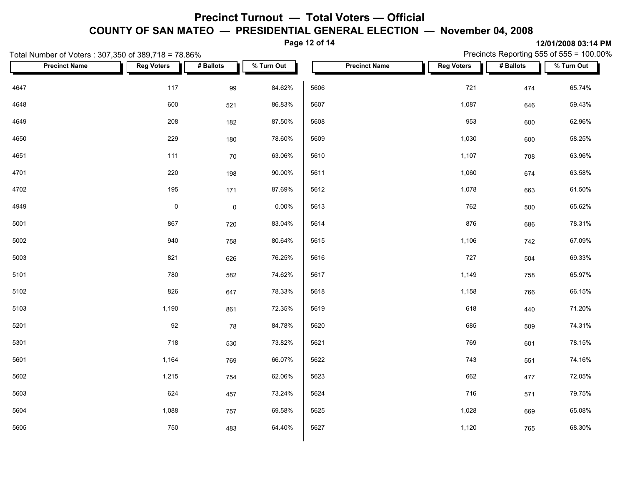**Page 12 of 14**

| Total Number of Voters: 307,350 of 389,718 = 78.86% |                     | Precincts Reporting 555 of 555 = $100.00\%$ |            |                      |                   |           |                               |
|-----------------------------------------------------|---------------------|---------------------------------------------|------------|----------------------|-------------------|-----------|-------------------------------|
| <b>Precinct Name</b>                                | <b>Reg Voters</b>   | # Ballots                                   | % Turn Out | <b>Precinct Name</b> | <b>Reg Voters</b> | # Ballots | $\sqrt{\frac{2}{1}}$ Turn Out |
| 4647                                                | 117                 | 99                                          | 84.62%     | 5606                 | 721               | 474       | 65.74%                        |
| 4648                                                | 600                 | 521                                         | 86.83%     | 5607                 | 1,087             | 646       | 59.43%                        |
| 4649                                                | 208                 | 182                                         | 87.50%     | 5608                 | 953               | 600       | 62.96%                        |
| 4650                                                | 229                 | 180                                         | 78.60%     | 5609                 | 1,030             | 600       | 58.25%                        |
| 4651                                                | 111                 | 70                                          | 63.06%     | 5610                 | 1,107             | 708       | 63.96%                        |
| 4701                                                | 220                 | 198                                         | 90.00%     | 5611                 | 1,060             | 674       | 63.58%                        |
| 4702                                                | 195                 | 171                                         | 87.69%     | 5612                 | 1,078             | 663       | 61.50%                        |
| 4949                                                | $\mathsf{O}\xspace$ | $\mathsf{O}\xspace$                         | $0.00\%$   | 5613                 | 762               | 500       | 65.62%                        |
| 5001                                                | 867                 | 720                                         | 83.04%     | 5614                 | 876               | 686       | 78.31%                        |
| 5002                                                | 940                 | 758                                         | 80.64%     | 5615                 | 1,106             | 742       | 67.09%                        |
| 5003                                                | 821                 | 626                                         | 76.25%     | 5616                 | 727               | 504       | 69.33%                        |
| 5101                                                | 780                 | 582                                         | 74.62%     | 5617                 | 1,149             | 758       | 65.97%                        |
| 5102                                                | 826                 | 647                                         | 78.33%     | 5618                 | 1,158             | 766       | 66.15%                        |
| 5103                                                | 1,190               | 861                                         | 72.35%     | 5619                 | 618               | 440       | 71.20%                        |
| 5201                                                | 92                  | 78                                          | 84.78%     | 5620                 | 685               | 509       | 74.31%                        |
| 5301                                                | 718                 | 530                                         | 73.82%     | 5621                 | 769               | 601       | 78.15%                        |
| 5601                                                | 1,164               | 769                                         | 66.07%     | 5622                 | 743               | 551       | 74.16%                        |
| 5602                                                | 1,215               | 754                                         | 62.06%     | 5623                 | 662               | 477       | 72.05%                        |
| 5603                                                | 624                 | 457                                         | 73.24%     | 5624                 | 716               | 571       | 79.75%                        |
| 5604                                                | 1,088               | 757                                         | 69.58%     | 5625                 | 1,028             | 669       | 65.08%                        |
| 5605                                                | 750                 | 483                                         | 64.40%     | 5627                 | 1,120             | 765       | 68.30%                        |
|                                                     |                     |                                             |            |                      |                   |           |                               |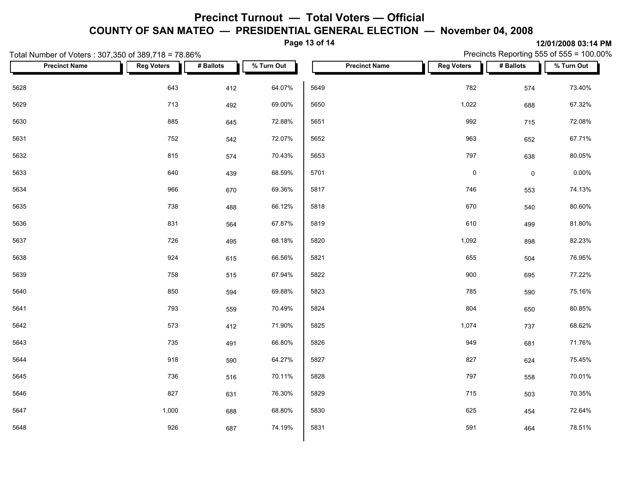**Page 13 of 14**

| . - ച-<br>.<br>Total Number of Voters: 307,350 of 389,718 = 78.86% |                      |                   |           |            |      |                      |                     |             | 14'V 1'AVVV VV. 17 1 111<br>Precincts Reporting 555 of 555 = 100.00% |  |
|--------------------------------------------------------------------|----------------------|-------------------|-----------|------------|------|----------------------|---------------------|-------------|----------------------------------------------------------------------|--|
|                                                                    | <b>Precinct Name</b> | <b>Reg Voters</b> | # Ballots | % Turn Out |      | <b>Precinct Name</b> | <b>Reg Voters</b>   | # Ballots   | $\sqrt{\frac{2}{1}}$ Turn Out                                        |  |
| 5628                                                               |                      | 643               | 412       | 64.07%     | 5649 |                      | 782                 | 574         | 73.40%                                                               |  |
| 5629                                                               |                      | 713               | 492       | 69.00%     | 5650 |                      | 1,022               | 688         | 67.32%                                                               |  |
| 5630                                                               |                      | 885               | 645       | 72.88%     | 5651 |                      | 992                 | 715         | 72.08%                                                               |  |
| 5631                                                               |                      | 752               | 542       | 72.07%     | 5652 |                      | 963                 | 652         | 67.71%                                                               |  |
| 5632                                                               |                      | 815               | 574       | 70.43%     | 5653 |                      | 797                 | 638         | 80.05%                                                               |  |
| 5633                                                               |                      | 640               | 439       | 68.59%     | 5701 |                      | $\mathsf{O}\xspace$ | $\mathbf 0$ | $0.00\%$                                                             |  |
| 5634                                                               |                      | 966               | 670       | 69.36%     | 5817 |                      | 746                 | 553         | 74.13%                                                               |  |
| 5635                                                               |                      | 738               | 488       | 66.12%     | 5818 |                      | 670                 | 540         | 80.60%                                                               |  |
| 5636                                                               |                      | 831               | 564       | 67.87%     | 5819 |                      | 610                 | 499         | 81.80%                                                               |  |
| 5637                                                               |                      | 726               | 495       | 68.18%     | 5820 |                      | 1,092               | 898         | 82.23%                                                               |  |
| 5638                                                               |                      | 924               | 615       | 66.56%     | 5821 |                      | 655                 | 504         | 76.95%                                                               |  |
| 5639                                                               |                      | 758               | 515       | 67.94%     | 5822 |                      | 900                 | 695         | 77.22%                                                               |  |
| 5640                                                               |                      | 850               | 594       | 69.88%     | 5823 |                      | 785                 | 590         | 75.16%                                                               |  |
| 5641                                                               |                      | 793               | 559       | 70.49%     | 5824 |                      | 804                 | 650         | 80.85%                                                               |  |
| 5642                                                               |                      | 573               | 412       | 71.90%     | 5825 |                      | 1,074               | 737         | 68.62%                                                               |  |
| 5643                                                               |                      | 735               | 491       | 66.80%     | 5826 |                      | 949                 | 681         | 71.76%                                                               |  |
| 5644                                                               |                      | 918               | 590       | 64.27%     | 5827 |                      | 827                 | 624         | 75.45%                                                               |  |
| 5645                                                               |                      | 736               | 516       | 70.11%     | 5828 |                      | 797                 | 558         | 70.01%                                                               |  |
| 5646                                                               |                      | 827               | 631       | 76.30%     | 5829 |                      | 715                 | 503         | 70.35%                                                               |  |
| 5647                                                               |                      | 1,000             | 688       | 68.80%     | 5830 |                      | 625                 | 454         | 72.64%                                                               |  |
| 5648                                                               |                      | 926               | 687       | 74.19%     | 5831 |                      | 591                 | 464         | 78.51%                                                               |  |
|                                                                    |                      |                   |           |            |      |                      |                     |             |                                                                      |  |